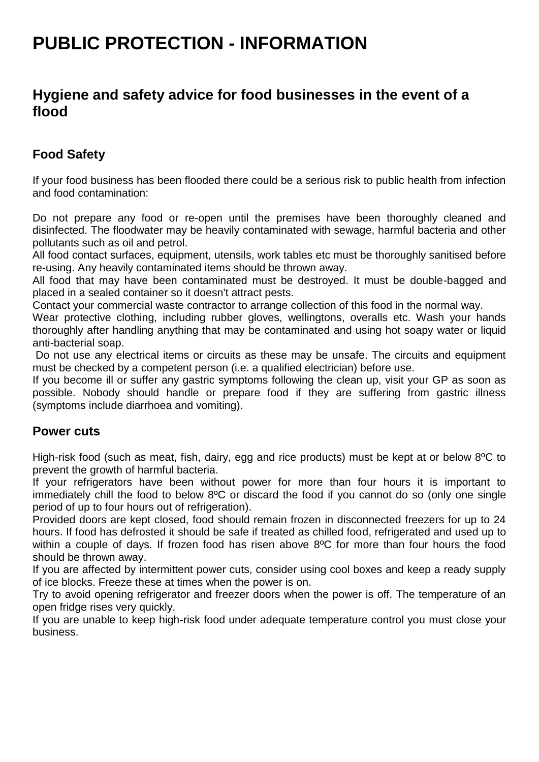# **PUBLIC PROTECTION - INFORMATION**

### **Hygiene and safety advice for food businesses in the event of a flood**

### **Food Safety**

If your food business has been flooded there could be a serious risk to public health from infection and food contamination:

Do not prepare any food or re-open until the premises have been thoroughly cleaned and disinfected. The floodwater may be heavily contaminated with sewage, harmful bacteria and other pollutants such as oil and petrol.

All food contact surfaces, equipment, utensils, work tables etc must be thoroughly sanitised before re-using. Any heavily contaminated items should be thrown away.

All food that may have been contaminated must be destroyed. It must be double-bagged and placed in a sealed container so it doesn't attract pests.

Contact your commercial waste contractor to arrange collection of this food in the normal way.

Wear protective clothing, including rubber gloves, wellingtons, overalls etc. Wash your hands thoroughly after handling anything that may be contaminated and using hot soapy water or liquid anti-bacterial soap.

Do not use any electrical items or circuits as these may be unsafe. The circuits and equipment must be checked by a competent person (i.e. a qualified electrician) before use.

If you become ill or suffer any gastric symptoms following the clean up, visit your GP as soon as possible. Nobody should handle or prepare food if they are suffering from gastric illness (symptoms include diarrhoea and vomiting).

#### **Power cuts**

High-risk food (such as meat, fish, dairy, egg and rice products) must be kept at or below 8ºC to prevent the growth of harmful bacteria.

If your refrigerators have been without power for more than four hours it is important to immediately chill the food to below 8ºC or discard the food if you cannot do so (only one single period of up to four hours out of refrigeration).

Provided doors are kept closed, food should remain frozen in disconnected freezers for up to 24 hours. If food has defrosted it should be safe if treated as chilled food, refrigerated and used up to within a couple of days. If frozen food has risen above 8°C for more than four hours the food should be thrown away.

If you are affected by intermittent power cuts, consider using cool boxes and keep a ready supply of ice blocks. Freeze these at times when the power is on.

Try to avoid opening refrigerator and freezer doors when the power is off. The temperature of an open fridge rises very quickly.

If you are unable to keep high-risk food under adequate temperature control you must close your business.